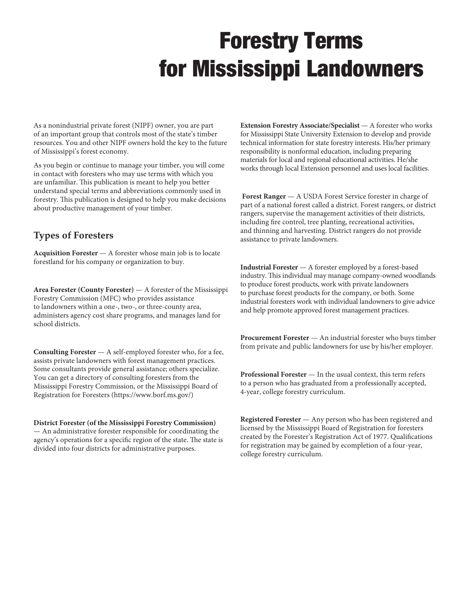# Forestry Terms for Mississippi Landowners

As a nonindustrial private forest (NIPF) owner, you are part of an important group that controls most of the state's timber resources. You and other NIPF owners hold the key to the future of Mississippi's forest economy.

As you begin or continue to manage your timber, you will come in contact with foresters who may use terms with which you are unfamiliar. This publication is meant to help you better understand special terms and abbreviations commonly used in forestry. This publication is designed to help you make decisions about productive management of your timber.

# **Types of Foresters**

**Acquisition Forester** — A forester whose main job is to locate forestland for his company or organization to buy.

**Area Forester (County Forester)** — A forester of the Mississippi Forestry Commission (MFC) who provides assistance to landowners within a one-, two-, or three-county area, administers agency cost share programs, and manages land for school districts.

**Consulting Forester** — A self-employed forester who, for a fee, assists private landowners with forest management practices. Some consultants provide general assistance; others specialize. You can get a directory of consulting foresters from the Mississippi Forestry Commission, or the Mississippi Board of Registration for Foresters (https://www.borf.ms.gov/)

**District Forester (of the Mississippi Forestry Commission)**  — An administrative forester responsible for coordinating the agency's operations for a specific region of the state. The state is divided into four districts for administrative purposes.

**Extension Forestry Associate/Specialist** — A forester who works for Mississippi State University Extension to develop and provide technical information for state forestry interests. His/her primary responsibility is nonformal education, including preparing materials for local and regional educational activities. He/she works through local Extension personnel and uses local facilities.

**Forest Ranger** — A USDA Forest Service forester in charge of part of a national forest called a district. Forest rangers, or district rangers, supervise the management activities of their districts, including fire control, tree planting, recreational activities, and thinning and harvesting. District rangers do not provide assistance to private landowners.

**Industrial Forester** — A forester employed by a forest-based industry. This individual may manage company-owned woodlands to produce forest products, work with private landowners to purchase forest products for the company, or both. Some industrial foresters work with individual landowners to give advice and help promote approved forest management practices.

**Procurement Forester** — An industrial forester who buys timber from private and public landowners for use by his/her employer.

**Professional Forester** — In the usual context, this term refers to a person who has graduated from a professionally accepted, 4-year, college forestry curriculum.

**Registered Forester** — Any person who has been registered and licensed by the Mississippi Board of Registration for foresters created by the Forester's Registration Act of 1977. Qualifications for registration may be gained by ecompletion of a four-year, college forestry curriculum.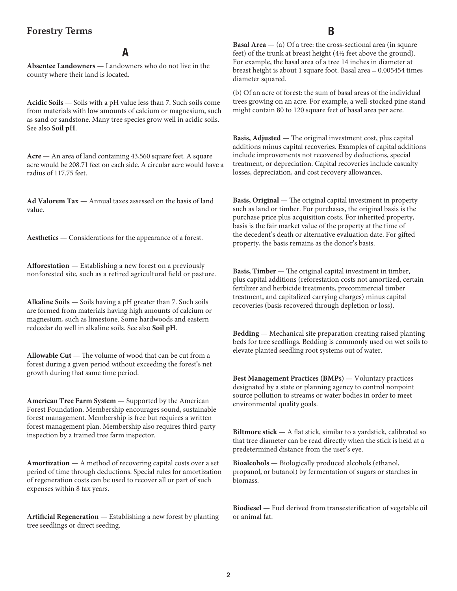#### **Forestry Terms**

#### A

**Absentee Landowners** — Landowners who do not live in the county where their land is located.

**Acidic Soils** — Soils with a pH value less than 7. Such soils come from materials with low amounts of calcium or magnesium, such as sand or sandstone. Many tree species grow well in acidic soils. See also **Soil pH**.

**Acre** — An area of land containing 43,560 square feet. A square acre would be 208.71 feet on each side. A circular acre would have a radius of 117.75 feet.

**Ad Valorem Tax** — Annual taxes assessed on the basis of land value.

**Aesthetics** — Considerations for the appearance of a forest.

**Afforestation** — Establishing a new forest on a previously nonforested site, such as a retired agricultural field or pasture.

**Alkaline Soils** — Soils having a pH greater than 7. Such soils are formed from materials having high amounts of calcium or magnesium, such as limestone. Some hardwoods and eastern redcedar do well in alkaline soils. See also **Soil pH**.

**Allowable Cut** — The volume of wood that can be cut from a forest during a given period without exceeding the forest's net growth during that same time period.

**American Tree Farm System** — Supported by the American Forest Foundation. Membership encourages sound, sustainable forest management. Membership is free but requires a written forest management plan. Membership also requires third-party inspection by a trained tree farm inspector.

**Amortization** — A method of recovering capital costs over a set period of time through deductions. Special rules for amortization of regeneration costs can be used to recover all or part of such expenses within 8 tax years.

**Artificial Regeneration** — Establishing a new forest by planting tree seedlings or direct seeding.

## B

**Basal Area** — (a) Of a tree: the cross-sectional area (in square feet) of the trunk at breast height  $(4\frac{1}{2})$  feet above the ground). For example, the basal area of a tree 14 inches in diameter at breast height is about 1 square foot. Basal area = 0.005454 times diameter squared.

(b) Of an acre of forest: the sum of basal areas of the individual trees growing on an acre. For example, a well-stocked pine stand might contain 80 to 120 square feet of basal area per acre.

**Basis, Adjusted** — The original investment cost, plus capital additions minus capital recoveries. Examples of capital additions include improvements not recovered by deductions, special treatment, or depreciation. Capital recoveries include casualty losses, depreciation, and cost recovery allowances.

**Basis, Original** — The original capital investment in property such as land or timber. For purchases, the original basis is the purchase price plus acquisition costs. For inherited property, basis is the fair market value of the property at the time of the decedent's death or alternative evaluation date. For gifted property, the basis remains as the donor's basis.

**Basis, Timber** — The original capital investment in timber, plus capital additions (reforestation costs not amortized, certain fertilizer and herbicide treatments, precommercial timber treatment, and capitalized carrying charges) minus capital recoveries (basis recovered through depletion or loss).

**Bedding** — Mechanical site preparation creating raised planting beds for tree seedlings. Bedding is commonly used on wet soils to elevate planted seedling root systems out of water.

**Best Management Practices (BMPs)** — Voluntary practices designated by a state or planning agency to control nonpoint source pollution to streams or water bodies in order to meet environmental quality goals.

**Biltmore stick** — A flat stick, similar to a yardstick, calibrated so that tree diameter can be read directly when the stick is held at a predetermined distance from the user's eye.

**Bioalcohols** — Biologically produced alcohols (ethanol, propanol, or butanol) by fermentation of sugars or starches in biomass.

**Biodiesel** — Fuel derived from transesterification of vegetable oil or animal fat.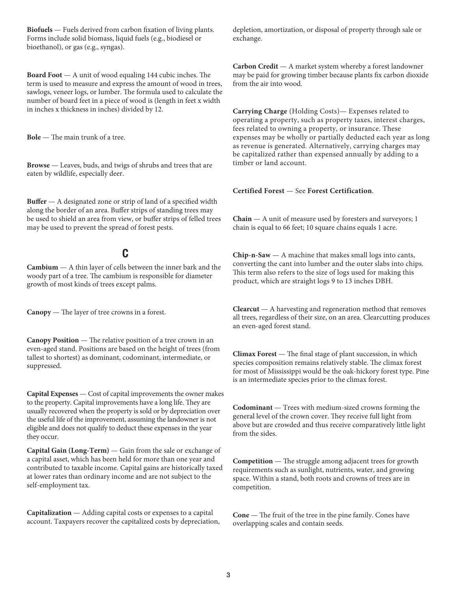**Biofuels** — Fuels derived from carbon fixation of living plants. Forms include solid biomass, liquid fuels (e.g., biodiesel or bioethanol), or gas (e.g., syngas).

**Board Foot** — A unit of wood equaling 144 cubic inches. The term is used to measure and express the amount of wood in trees, sawlogs, veneer logs, or lumber. The formula used to calculate the number of board feet in a piece of wood is (length in feet x width in inches x thickness in inches) divided by 12.

**Bole** — The main trunk of a tree.

**Browse** — Leaves, buds, and twigs of shrubs and trees that are eaten by wildlife, especially deer.

**Buffer** — A designated zone or strip of land of a specified width along the border of an area. Buffer strips of standing trees may be used to shield an area from view, or buffer strips of felled trees may be used to prevent the spread of forest pests.

## C

**Cambium** — A thin layer of cells between the inner bark and the woody part of a tree. The cambium is responsible for diameter growth of most kinds of trees except palms.

**Canopy** — The layer of tree crowns in a forest.

**Canopy Position** — The relative position of a tree crown in an even-aged stand. Positions are based on the height of trees (from tallest to shortest) as dominant, codominant, intermediate, or suppressed.

**Capital Expenses** — Cost of capital improvements the owner makes to the property. Capital improvements have a long life. They are usually recovered when the property is sold or by depreciation over the useful life of the improvement, assuming the landowner is not eligible and does not qualify to deduct these expenses in the year they occur.

**Capital Gain (Long-Term)** — Gain from the sale or exchange of a capital asset, which has been held for more than one year and contributed to taxable income. Capital gains are historically taxed at lower rates than ordinary income and are not subject to the self-employment tax.

**Capitalization** — Adding capital costs or expenses to a capital account. Taxpayers recover the capitalized costs by depreciation, depletion, amortization, or disposal of property through sale or exchange.

**Carbon Credit** — A market system whereby a forest landowner may be paid for growing timber because plants fix carbon dioxide from the air into wood.

**Carrying Charge** (Holding Costs)— Expenses related to operating a property, such as property taxes, interest charges, fees related to owning a property, or insurance. These expenses may be wholly or partially deducted each year as long as revenue is generated. Alternatively, carrying charges may be capitalized rather than expensed annually by adding to a timber or land account.

#### **Certified Forest** — See **Forest Certification**.

**Chain** — A unit of measure used by foresters and surveyors; 1 chain is equal to 66 feet; 10 square chains equals 1 acre.

**Chip-n-Saw** — A machine that makes small logs into cants, converting the cant into lumber and the outer slabs into chips. This term also refers to the size of logs used for making this product, which are straight logs 9 to 13 inches DBH.

**Clearcut** — A harvesting and regeneration method that removes all trees, regardless of their size, on an area. Clearcutting produces an even-aged forest stand.

**Climax Forest** — The final stage of plant succession, in which species composition remains relatively stable. The climax forest for most of Mississippi would be the oak-hickory forest type. Pine is an intermediate species prior to the climax forest.

**Codominant** — Trees with medium-sized crowns forming the general level of the crown cover. They receive full light from above but are crowded and thus receive comparatively little light from the sides.

**Competition** — The struggle among adjacent trees for growth requirements such as sunlight, nutrients, water, and growing space. Within a stand, both roots and crowns of trees are in competition.

**Cone** — The fruit of the tree in the pine family. Cones have overlapping scales and contain seeds.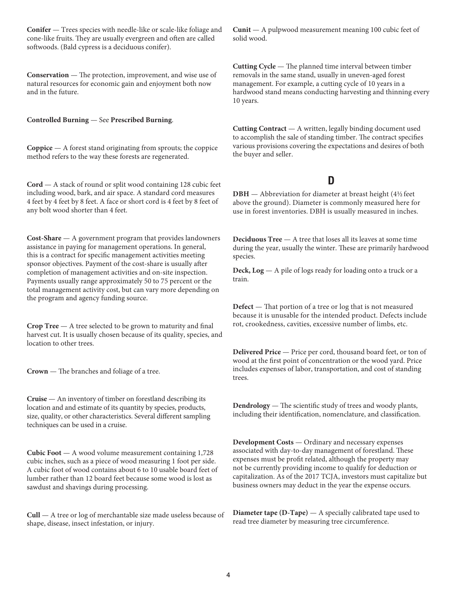**Conifer** — Trees species with needle-like or scale-like foliage and cone-like fruits. They are usually evergreen and often are called softwoods. (Bald cypress is a deciduous conifer).

**Conservation** — The protection, improvement, and wise use of natural resources for economic gain and enjoyment both now and in the future.

**Controlled Burning** — See **Prescribed Burning**.

**Coppice** — A forest stand originating from sprouts; the coppice method refers to the way these forests are regenerated.

**Cord** — A stack of round or split wood containing 128 cubic feet including wood, bark, and air space. A standard cord measures 4 feet by 4 feet by 8 feet. A face or short cord is 4 feet by 8 feet of any bolt wood shorter than 4 feet.

**Cost-Share** — A government program that provides landowners assistance in paying for management operations. In general, this is a contract for specific management activities meeting sponsor objectives. Payment of the cost-share is usually after completion of management activities and on-site inspection. Payments usually range approximately 50 to 75 percent or the total management activity cost, but can vary more depending on the program and agency funding source.

**Crop Tree** — A tree selected to be grown to maturity and final harvest cut. It is usually chosen because of its quality, species, and location to other trees.

**Crown** — The branches and foliage of a tree.

**Cruise** — An inventory of timber on forestland describing its location and and estimate of its quantity by species, products, size, quality, or other characteristics. Several different sampling techniques can be used in a cruise.

**Cubic Foot** — A wood volume measurement containing 1,728 cubic inches, such as a piece of wood measuring 1 foot per side. A cubic foot of wood contains about 6 to 10 usable board feet of lumber rather than 12 board feet because some wood is lost as sawdust and shavings during processing.

**Cull** — A tree or log of merchantable size made useless because of shape, disease, insect infestation, or injury.

**Cunit** — A pulpwood measurement meaning 100 cubic feet of solid wood.

**Cutting Cycle** — The planned time interval between timber removals in the same stand, usually in uneven-aged forest management. For example, a cutting cycle of 10 years in a hardwood stand means conducting harvesting and thinning every 10 years.

**Cutting Contract** — A written, legally binding document used to accomplish the sale of standing timber. The contract specifies various provisions covering the expectations and desires of both the buyer and seller.

# D

**DBH** — Abbreviation for diameter at breast height (41/2 feet) above the ground). Diameter is commonly measured here for use in forest inventories. DBH is usually measured in inches.

**Deciduous Tree** — A tree that loses all its leaves at some time during the year, usually the winter. These are primarily hardwood species.

**Deck, Log** — A pile of logs ready for loading onto a truck or a train.

**Defect** — That portion of a tree or log that is not measured because it is unusable for the intended product. Defects include rot, crookedness, cavities, excessive number of limbs, etc.

**Delivered Price** — Price per cord, thousand board feet, or ton of wood at the first point of concentration or the wood yard. Price includes expenses of labor, transportation, and cost of standing trees.

**Dendrology** — The scientific study of trees and woody plants, including their identification, nomenclature, and classification.

**Development Costs** — Ordinary and necessary expenses associated with day-to-day management of forestland. These expenses must be profit related, although the property may not be currently providing income to qualify for deduction or capitalization. As of the 2017 TCJA, investors must capitalize but business owners may deduct in the year the expense occurs.

**Diameter tape (D-Tape)** — A specially calibrated tape used to read tree diameter by measuring tree circumference.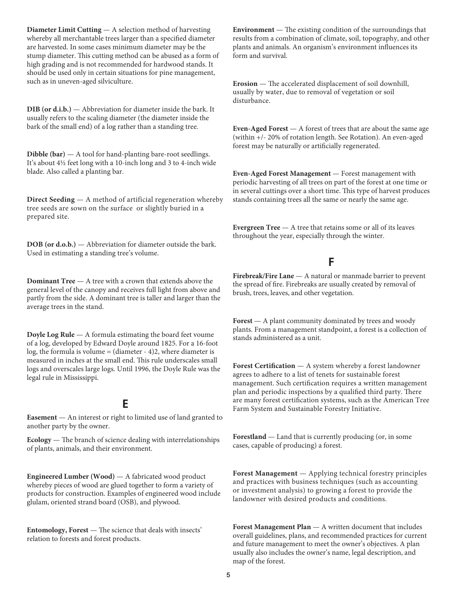**Diameter Limit Cutting** — A selection method of harvesting whereby all merchantable trees larger than a specified diameter are harvested. In some cases minimum diameter may be the stump diameter. This cutting method can be abused as a form of high grading and is not recommended for hardwood stands. It should be used only in certain situations for pine management, such as in uneven-aged silviculture.

**DIB (or d.i.b.)** — Abbreviation for diameter inside the bark. It usually refers to the scaling diameter (the diameter inside the bark of the small end) of a log rather than a standing tree.

**Dibble (bar)** — A tool for hand-planting bare-root seedlings. It's about 4½ feet long with a 10-inch long and 3 to 4-inch wide blade. Also called a planting bar.

**Direct Seeding** — A method of artificial regeneration whereby tree seeds are sown on the surface or slightly buried in a prepared site.

**DOB (or d.o.b.)** — Abbreviation for diameter outside the bark. Used in estimating a standing tree's volume.

**Dominant Tree** — A tree with a crown that extends above the general level of the canopy and receives full light from above and partly from the side. A dominant tree is taller and larger than the average trees in the stand.

**Doyle Log Rule** — A formula estimating the board feet voume of a log, developed by Edward Doyle around 1825. For a 16-foot log, the formula is volume = (diameter - 4)2, where diameter is measured in inches at the small end. This rule underscales small logs and overscales large logs. Until 1996, the Doyle Rule was the legal rule in Mississippi.

## E

**Easement** — An interest or right to limited use of land granted to another party by the owner.

**Ecology** — The branch of science dealing with interrelationships of plants, animals, and their environment.

**Engineered Lumber (Wood)** — A fabricated wood product whereby pieces of wood are glued together to form a variety of products for construction. Examples of engineered wood include glulam, oriented strand board (OSB), and plywood.

**Entomology, Forest** — The science that deals with insects' relation to forests and forest products.

**Environment** — The existing condition of the surroundings that results from a combination of climate, soil, topography, and other plants and animals. An organism's environment influences its form and survival.

**Erosion** — The accelerated displacement of soil downhill, usually by water, due to removal of vegetation or soil disturbance.

**Even-Aged Forest** — A forest of trees that are about the same age (within +/- 20% of rotation length. See Rotation). An even-aged forest may be naturally or artificially regenerated.

**Even-Aged Forest Management** — Forest management with periodic harvesting of all trees on part of the forest at one time or in several cuttings over a short time. This type of harvest produces stands containing trees all the same or nearly the same age.

**Evergreen Tree** — A tree that retains some or all of its leaves throughout the year, especially through the winter.

## F

**Firebreak/Fire Lane** — A natural or manmade barrier to prevent the spread of fire. Firebreaks are usually created by removal of brush, trees, leaves, and other vegetation.

**Forest** — A plant community dominated by trees and woody plants. From a management standpoint, a forest is a collection of stands administered as a unit.

**Forest Certification** — A system whereby a forest landowner agrees to adhere to a list of tenets for sustainable forest management. Such certification requires a written management plan and periodic inspections by a qualified third party. There are many forest certification systems, such as the American Tree Farm System and Sustainable Forestry Initiative.

**Forestland** — Land that is currently producing (or, in some cases, capable of producing) a forest.

**Forest Management** — Applying technical forestry principles and practices with business techniques (such as accounting or investment analysis) to growing a forest to provide the landowner with desired products and conditions.

**Forest Management Plan** — A written document that includes overall guidelines, plans, and recommended practices for current and future management to meet the owner's objectives. A plan usually also includes the owner's name, legal description, and map of the forest.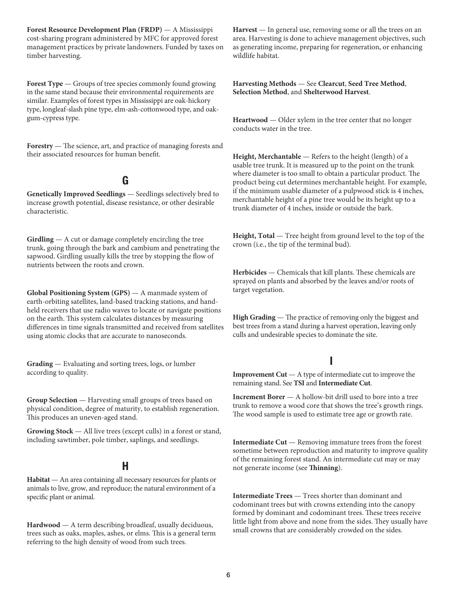**Forest Resource Development Plan (FRDP)** — A Mississippi cost-sharing program administered by MFC for approved forest management practices by private landowners. Funded by taxes on timber harvesting.

**Forest Type** — Groups of tree species commonly found growing in the same stand because their environmental requirements are similar. Examples of forest types in Mississippi are oak-hickory type, longleaf-slash pine type, elm-ash-cottonwood type, and oakgum-cypress type.

**Forestry** — The science, art, and practice of managing forests and their associated resources for human benefit.

## G

**Genetically Improved Seedlings** — Seedlings selectively bred to increase growth potential, disease resistance, or other desirable characteristic.

**Girdling** — A cut or damage completely encircling the tree trunk, going through the bark and cambium and penetrating the sapwood. Girdling usually kills the tree by stopping the flow of nutrients between the roots and crown.

**Global Positioning System (GPS)** — A manmade system of earth-orbiting satellites, land-based tracking stations, and handheld receivers that use radio waves to locate or navigate positions on the earth. This system calculates distances by measuring differences in time signals transmitted and received from satellites using atomic clocks that are accurate to nanoseconds.

**Grading** — Evaluating and sorting trees, logs, or lumber according to quality.

**Group Selection** — Harvesting small groups of trees based on physical condition, degree of maturity, to establish regeneration. This produces an uneven-aged stand.

**Growing Stock** — All live trees (except culls) in a forest or stand, including sawtimber, pole timber, saplings, and seedlings.

# H

**Habitat** — An area containing all necessary resources for plants or animals to live, grow, and reproduce; the natural environment of a specific plant or animal.

**Hardwood** — A term describing broadleaf, usually deciduous, trees such as oaks, maples, ashes, or elms. This is a general term referring to the high density of wood from such trees.

**Harvest** — In general use, removing some or all the trees on an area. Harvesting is done to achieve management objectives, such as generating income, preparing for regeneration, or enhancing wildlife habitat.

**Harvesting Methods** — See **Clearcut**, **Seed Tree Method**, **Selection Method**, and **Shelterwood Harvest**.

**Heartwood** — Older xylem in the tree center that no longer conducts water in the tree.

**Height, Merchantable** — Refers to the height (length) of a usable tree trunk. It is measured up to the point on the trunk where diameter is too small to obtain a particular product. The product being cut determines merchantable height. For example, if the minimum usable diameter of a pulpwood stick is 4 inches, merchantable height of a pine tree would be its height up to a trunk diameter of 4 inches, inside or outside the bark.

**Height, Total** — Tree height from ground level to the top of the crown (i.e., the tip of the terminal bud).

**Herbicides** — Chemicals that kill plants. These chemicals are sprayed on plants and absorbed by the leaves and/or roots of target vegetation.

**High Grading** — The practice of removing only the biggest and best trees from a stand during a harvest operation, leaving only culls and undesirable species to dominate the site.

# I

**Improvement Cut** — A type of intermediate cut to improve the remaining stand. See **TSI** and **Intermediate Cut**.

**Increment Borer** — A hollow-bit drill used to bore into a tree trunk to remove a wood core that shows the tree's growth rings. The wood sample is used to estimate tree age or growth rate.

**Intermediate Cut** — Removing immature trees from the forest sometime between reproduction and maturity to improve quality of the remaining forest stand. An intermediate cut may or may not generate income (see **Thinning**).

**Intermediate Trees** — Trees shorter than dominant and codominant trees but with crowns extending into the canopy formed by dominant and codominant trees. These trees receive little light from above and none from the sides. They usually have small crowns that are considerably crowded on the sides.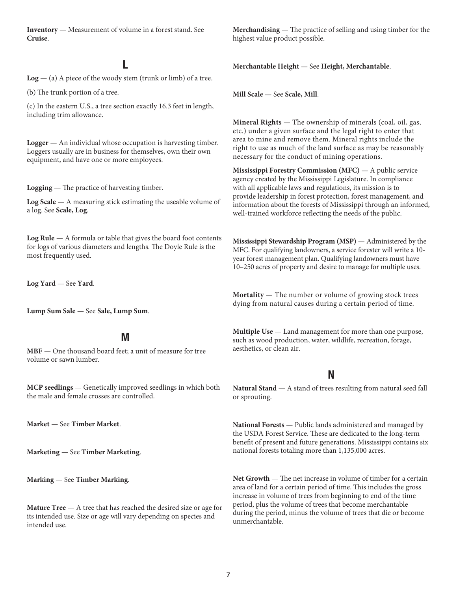**Inventory** — Measurement of volume in a forest stand. See **Cruise**.

# L

**Log** — (a) A piece of the woody stem (trunk or limb) of a tree.

(b) The trunk portion of a tree.

(c) In the eastern U.S., a tree section exactly 16.3 feet in length, including trim allowance.

**Logger** — An individual whose occupation is harvesting timber. Loggers usually are in business for themselves, own their own equipment, and have one or more employees.

**Logging** — The practice of harvesting timber.

**Log Scale** — A measuring stick estimating the useable volume of a log. See **Scale, Log**.

**Log Rule** — A formula or table that gives the board foot contents for logs of various diameters and lengths. The Doyle Rule is the most frequently used.

**Log Yard** — See **Yard**.

**Lump Sum Sale** — See **Sale, Lump Sum**.

#### M

**MBF** — One thousand board feet; a unit of measure for tree volume or sawn lumber.

**MCP seedlings** — Genetically improved seedlings in which both the male and female crosses are controlled.

**Market** — See **Timber Market**.

**Marketing** — See **Timber Marketing**.

**Marking** — See **Timber Marking**.

**Mature Tree** — A tree that has reached the desired size or age for its intended use. Size or age will vary depending on species and intended use.

**Merchandising** — The practice of selling and using timber for the highest value product possible.

**Merchantable Height** — See **Height, Merchantable**.

**Mill Scale** — See **Scale, Mill**.

**Mineral Rights** — The ownership of minerals (coal, oil, gas, etc.) under a given surface and the legal right to enter that area to mine and remove them. Mineral rights include the right to use as much of the land surface as may be reasonably necessary for the conduct of mining operations.

**Mississippi Forestry Commission (MFC)** — A public service agency created by the Mississippi Legislature. In compliance with all applicable laws and regulations, its mission is to provide leadership in forest protection, forest management, and information about the forests of Mississippi through an informed, well-trained workforce reflecting the needs of the public.

**Mississippi Stewardship Program (MSP)** — Administered by the MFC. For qualifying landowners, a service forester will write a 10 year forest management plan. Qualifying landowners must have 10–250 acres of property and desire to manage for multiple uses.

**Mortality** — The number or volume of growing stock trees dying from natural causes during a certain period of time.

**Multiple Use** — Land management for more than one purpose, such as wood production, water, wildlife, recreation, forage, aesthetics, or clean air.

#### N

**Natural Stand** — A stand of trees resulting from natural seed fall or sprouting.

**National Forests** — Public lands administered and managed by the USDA Forest Service. These are dedicated to the long-term benefit of present and future generations. Mississippi contains six national forests totaling more than 1,135,000 acres.

**Net Growth** — The net increase in volume of timber for a certain area of land for a certain period of time. This includes the gross increase in volume of trees from beginning to end of the time period, plus the volume of trees that become merchantable during the period, minus the volume of trees that die or become unmerchantable.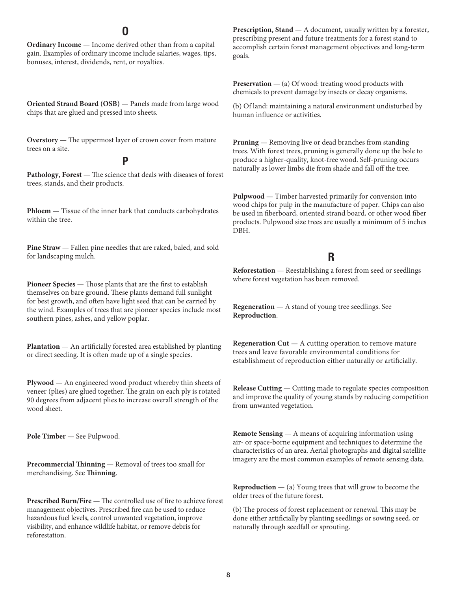#### O

**Ordinary Income** — Income derived other than from a capital gain. Examples of ordinary income include salaries, wages, tips, bonuses, interest, dividends, rent, or royalties.

**Oriented Strand Board (OSB)** — Panels made from large wood chips that are glued and pressed into sheets.

**Overstory** — The uppermost layer of crown cover from mature trees on a site.

#### P

**Pathology, Forest** — The science that deals with diseases of forest trees, stands, and their products.

**Phloem** — Tissue of the inner bark that conducts carbohydrates within the tree.

Pine Straw - Fallen pine needles that are raked, baled, and sold for landscaping mulch.

**Pioneer Species** — Those plants that are the first to establish themselves on bare ground. These plants demand full sunlight for best growth, and often have light seed that can be carried by the wind. Examples of trees that are pioneer species include most southern pines, ashes, and yellow poplar.

**Plantation** — An artificially forested area established by planting or direct seeding. It is often made up of a single species.

**Plywood** — An engineered wood product whereby thin sheets of veneer (plies) are glued together. The grain on each ply is rotated 90 degrees from adjacent plies to increase overall strength of the wood sheet.

**Pole Timber** — See Pulpwood.

**Precommercial Thinning** — Removal of trees too small for merchandising. See **Thinning**.

**Prescribed Burn/Fire** — The controlled use of fire to achieve forest management objectives. Prescribed fire can be used to reduce hazardous fuel levels, control unwanted vegetation, improve visibility, and enhance wildlife habitat, or remove debris for reforestation.

**Prescription, Stand** — A document, usually written by a forester, prescribing present and future treatments for a forest stand to accomplish certain forest management objectives and long-term goals.

**Preservation** — (a) Of wood: treating wood products with chemicals to prevent damage by insects or decay organisms.

(b) Of land: maintaining a natural environment undisturbed by human influence or activities.

**Pruning** — Removing live or dead branches from standing trees. With forest trees, pruning is generally done up the bole to produce a higher-quality, knot-free wood. Self-pruning occurs naturally as lower limbs die from shade and fall off the tree.

**Pulpwood** — Timber harvested primarily for conversion into wood chips for pulp in the manufacture of paper. Chips can also be used in fiberboard, oriented strand board, or other wood fiber products. Pulpwood size trees are usually a minimum of 5 inches DBH.

## R

**Reforestation** — Reestablishing a forest from seed or seedlings where forest vegetation has been removed.

**Regeneration** — A stand of young tree seedlings. See **Reproduction**.

**Regeneration Cut** — A cutting operation to remove mature trees and leave favorable environmental conditions for establishment of reproduction either naturally or artificially.

**Release Cutting** — Cutting made to regulate species composition and improve the quality of young stands by reducing competition from unwanted vegetation.

**Remote Sensing** — A means of acquiring information using air- or space-borne equipment and techniques to determine the characteristics of an area. Aerial photographs and digital satellite imagery are the most common examples of remote sensing data.

**Reproduction**  $-$  (a) Young trees that will grow to become the older trees of the future forest.

(b) The process of forest replacement or renewal. This may be done either artificially by planting seedlings or sowing seed, or naturally through seedfall or sprouting.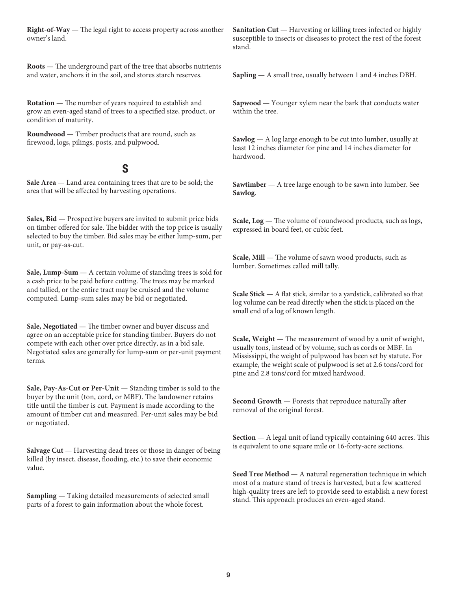**Right-of-Way** — The legal right to access property across another owner's land.

**Roots** — The underground part of the tree that absorbs nutrients and water, anchors it in the soil, and stores starch reserves.

**Rotation** — The number of years required to establish and grow an even-aged stand of trees to a specified size, product, or condition of maturity.

**Roundwood** — Timber products that are round, such as firewood, logs, pilings, posts, and pulpwood.

## S

**Sale Area** — Land area containing trees that are to be sold; the area that will be affected by harvesting operations.

**Sales, Bid** — Prospective buyers are invited to submit price bids on timber offered for sale. The bidder with the top price is usually selected to buy the timber. Bid sales may be either lump-sum, per unit, or pay-as-cut.

**Sale, Lump-Sum** — A certain volume of standing trees is sold for a cash price to be paid before cutting. The trees may be marked and tallied, or the entire tract may be cruised and the volume computed. Lump-sum sales may be bid or negotiated.

**Sale, Negotiated** — The timber owner and buyer discuss and agree on an acceptable price for standing timber. Buyers do not compete with each other over price directly, as in a bid sale. Negotiated sales are generally for lump-sum or per-unit payment terms.

**Sale, Pay-As-Cut or Per-Unit** — Standing timber is sold to the buyer by the unit (ton, cord, or MBF). The landowner retains title until the timber is cut. Payment is made according to the amount of timber cut and measured. Per-unit sales may be bid or negotiated.

**Salvage Cut** — Harvesting dead trees or those in danger of being killed (by insect, disease, flooding, etc.) to save their economic value.

**Sampling** — Taking detailed measurements of selected small parts of a forest to gain information about the whole forest.

**Sanitation Cut** — Harvesting or killing trees infected or highly susceptible to insects or diseases to protect the rest of the forest stand.

**Sapling** — A small tree, usually between 1 and 4 inches DBH.

**Sapwood** — Younger xylem near the bark that conducts water within the tree.

**Sawlog** — A log large enough to be cut into lumber, usually at least 12 inches diameter for pine and 14 inches diameter for hardwood.

**Sawtimber** — A tree large enough to be sawn into lumber. See **Sawlog**.

Scale, Log - The volume of roundwood products, such as logs, expressed in board feet, or cubic feet.

**Scale, Mill** — The volume of sawn wood products, such as lumber. Sometimes called mill tally.

**Scale Stick** — A flat stick, similar to a yardstick, calibrated so that log volume can be read directly when the stick is placed on the small end of a log of known length.

**Scale, Weight** — The measurement of wood by a unit of weight, usually tons, instead of by volume, such as cords or MBF. In Mississippi, the weight of pulpwood has been set by statute. For example, the weight scale of pulpwood is set at 2.6 tons/cord for pine and 2.8 tons/cord for mixed hardwood.

**Second Growth** — Forests that reproduce naturally after removal of the original forest.

**Section** — A legal unit of land typically containing 640 acres. This is equivalent to one square mile or 16-forty-acre sections.

**Seed Tree Method** — A natural regeneration technique in which most of a mature stand of trees is harvested, but a few scattered high-quality trees are left to provide seed to establish a new forest stand. This approach produces an even-aged stand.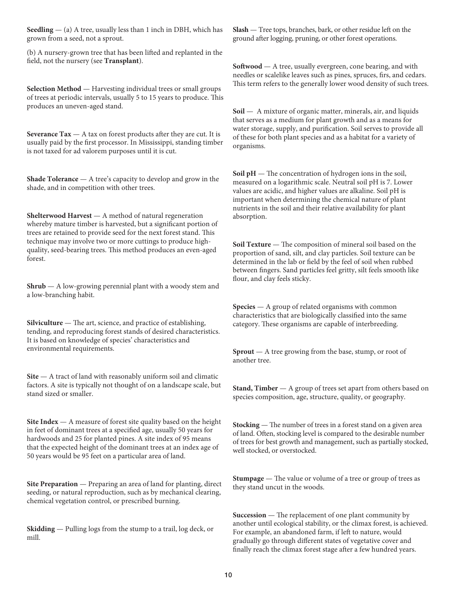**Seedling** — (a) A tree, usually less than 1 inch in DBH, which has grown from a seed, not a sprout.

(b) A nursery-grown tree that has been lifted and replanted in the field, not the nursery (see **Transplant**).

**Selection Method** — Harvesting individual trees or small groups of trees at periodic intervals, usually 5 to 15 years to produce. This produces an uneven-aged stand.

**Severance Tax** — A tax on forest products after they are cut. It is usually paid by the first processor. In Mississippi, standing timber is not taxed for ad valorem purposes until it is cut.

**Shade Tolerance** — A tree's capacity to develop and grow in the shade, and in competition with other trees.

**Shelterwood Harvest** — A method of natural regeneration whereby mature timber is harvested, but a significant portion of trees are retained to provide seed for the next forest stand. This technique may involve two or more cuttings to produce highquality, seed-bearing trees. This method produces an even-aged forest.

**Shrub** — A low-growing perennial plant with a woody stem and a low-branching habit.

**Silviculture** — The art, science, and practice of establishing, tending, and reproducing forest stands of desired characteristics. It is based on knowledge of species' characteristics and environmental requirements.

**Site** — A tract of land with reasonably uniform soil and climatic factors. A site is typically not thought of on a landscape scale, but stand sized or smaller.

**Site Index** — A measure of forest site quality based on the height in feet of dominant trees at a specified age, usually 50 years for hardwoods and 25 for planted pines. A site index of 95 means that the expected height of the dominant trees at an index age of 50 years would be 95 feet on a particular area of land.

**Site Preparation** — Preparing an area of land for planting, direct seeding, or natural reproduction, such as by mechanical clearing, chemical vegetation control, or prescribed burning.

**Skidding** — Pulling logs from the stump to a trail, log deck, or mill.

**Slash** — Tree tops, branches, bark, or other residue left on the ground after logging, pruning, or other forest operations.

**Softwood** — A tree, usually evergreen, cone bearing, and with needles or scalelike leaves such as pines, spruces, firs, and cedars. This term refers to the generally lower wood density of such trees.

**Soil** — A mixture of organic matter, minerals, air, and liquids that serves as a medium for plant growth and as a means for water storage, supply, and purification. Soil serves to provide all of these for both plant species and as a habitat for a variety of organisms.

**Soil pH** — The concentration of hydrogen ions in the soil, measured on a logarithmic scale. Neutral soil pH is 7. Lower values are acidic, and higher values are alkaline. Soil pH is important when determining the chemical nature of plant nutrients in the soil and their relative availability for plant absorption.

**Soil Texture** — The composition of mineral soil based on the proportion of sand, silt, and clay particles. Soil texture can be determined in the lab or field by the feel of soil when rubbed between fingers. Sand particles feel gritty, silt feels smooth like flour, and clay feels sticky.

**Species** — A group of related organisms with common characteristics that are biologically classified into the same category. These organisms are capable of interbreeding.

**Sprout** — A tree growing from the base, stump, or root of another tree.

**Stand, Timber** — A group of trees set apart from others based on species composition, age, structure, quality, or geography.

**Stocking** — The number of trees in a forest stand on a given area of land. Often, stocking level is compared to the desirable number of trees for best growth and management, such as partially stocked, well stocked, or overstocked.

**Stumpage** — The value or volume of a tree or group of trees as they stand uncut in the woods.

**Succession** — The replacement of one plant community by another until ecological stability, or the climax forest, is achieved. For example, an abandoned farm, if left to nature, would gradually go through different states of vegetative cover and finally reach the climax forest stage after a few hundred years.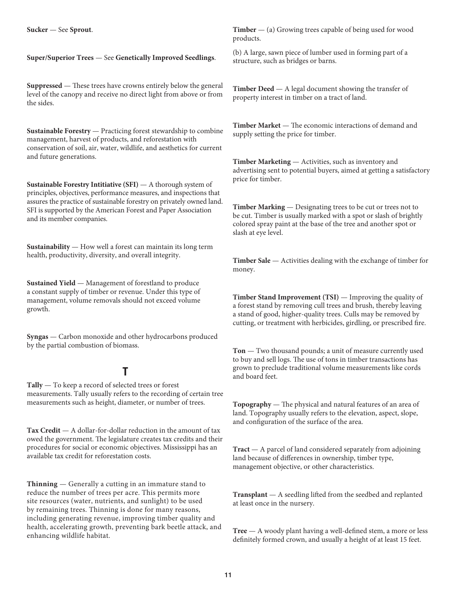**Sucker** — See **Sprout**.

**Super/Superior Trees** — See **Genetically Improved Seedlings**.

**Suppressed** — These trees have crowns entirely below the general level of the canopy and receive no direct light from above or from the sides.

**Sustainable Forestry** — Practicing forest stewardship to combine management, harvest of products, and reforestation with conservation of soil, air, water, wildlife, and aesthetics for current and future generations.

**Sustainable Forestry Intitiative (SFI)** — A thorough system of principles, objectives, performance measures, and inspections that assures the practice of sustainable forestry on privately owned land. SFI is supported by the American Forest and Paper Association and its member companies.

**Sustainability** — How well a forest can maintain its long term health, productivity, diversity, and overall integrity.

**Sustained Yield** — Management of forestland to produce a constant supply of timber or revenue. Under this type of management, volume removals should not exceed volume growth.

**Syngas** — Carbon monoxide and other hydrocarbons produced by the partial combustion of biomass.

# T

**Tally** — To keep a record of selected trees or forest measurements. Tally usually refers to the recording of certain tree measurements such as height, diameter, or number of trees.

**Tax Credit** — A dollar-for-dollar reduction in the amount of tax owed the government. The legislature creates tax credits and their procedures for social or economic objectives. Mississippi has an available tax credit for reforestation costs.

**Thinning** — Generally a cutting in an immature stand to reduce the number of trees per acre. This permits more site resources (water, nutrients, and sunlight) to be used by remaining trees. Thinning is done for many reasons, including generating revenue, improving timber quality and health, accelerating growth, preventing bark beetle attack, and enhancing wildlife habitat.

**Timber** — (a) Growing trees capable of being used for wood products.

(b) A large, sawn piece of lumber used in forming part of a structure, such as bridges or barns.

**Timber Deed** — A legal document showing the transfer of property interest in timber on a tract of land.

**Timber Market** — The economic interactions of demand and supply setting the price for timber.

**Timber Marketing** — Activities, such as inventory and advertising sent to potential buyers, aimed at getting a satisfactory price for timber.

**Timber Marking** — Designating trees to be cut or trees not to be cut. Timber is usually marked with a spot or slash of brightly colored spray paint at the base of the tree and another spot or slash at eye level.

**Timber Sale** — Activities dealing with the exchange of timber for money.

**Timber Stand Improvement (TSI)** — Improving the quality of a forest stand by removing cull trees and brush, thereby leaving a stand of good, higher-quality trees. Culls may be removed by cutting, or treatment with herbicides, girdling, or prescribed fire.

**Ton** — Two thousand pounds; a unit of measure currently used to buy and sell logs. The use of tons in timber transactions has grown to preclude traditional volume measurements like cords and board feet.

**Topography** — The physical and natural features of an area of land. Topography usually refers to the elevation, aspect, slope, and configuration of the surface of the area.

**Tract** — A parcel of land considered separately from adjoining land because of differences in ownership, timber type, management objective, or other characteristics.

**Transplant** — A seedling lifted from the seedbed and replanted at least once in the nursery.

**Tree** — A woody plant having a well-defined stem, a more or less definitely formed crown, and usually a height of at least 15 feet.